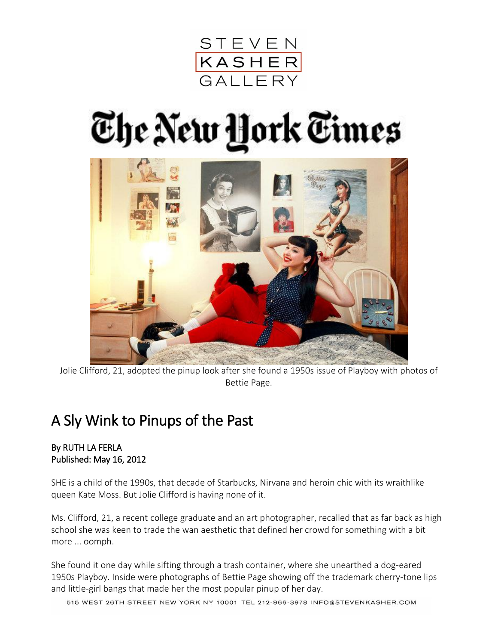

## The New York Times



Jolie Clifford, 21, adopted the pinup look after she found a 1950s issue of Playboy with photos of Bettie Page.

## A Sly Wink to Pinups of the Past

## By RUTH LA FERLA Published: May 16, 2012

SHE is a child of the 1990s, that decade of Starbucks, Nirvana and heroin chic with its wraithlike queen Kate Moss. But Jolie Clifford is having none of it.

Ms. Clifford, 21, a recent college graduate and an art photographer, recalled that as far back as high school she was keen to trade the wan aesthetic that defined her crowd for something with a bit more ... oomph.

She found it one day while sifting through a trash container, where she unearthed a dog-eared 1950s Playboy. Inside were photographs of Bettie Page showing off the trademark cherry-tone lips and little-girl bangs that made her the most popular pinup of her day.

515 WEST 26TH STREET NEW YORK NY 10001 TEL 212-966-3978 INFO@STEVENKASHER.COM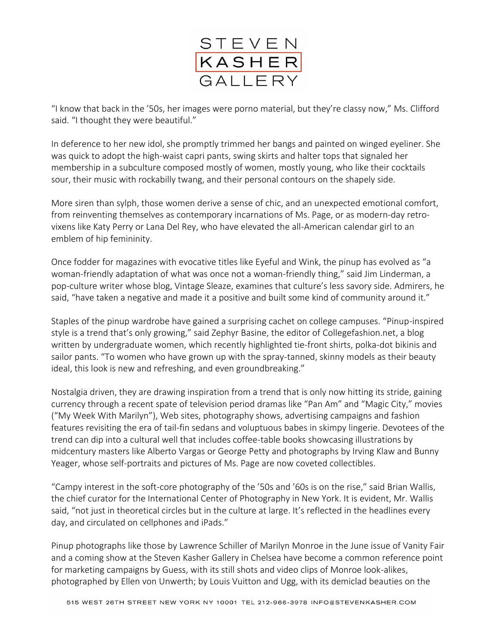

"I know that back in the '50s, her images were porno material, but they're classy now," Ms. Clifford said. "I thought they were beautiful."

In deference to her new idol, she promptly trimmed her bangs and painted on winged eyeliner. She was quick to adopt the high-waist capri pants, swing skirts and halter tops that signaled her membership in a subculture composed mostly of women, mostly young, who like their cocktails sour, their music with rockabilly twang, and their personal contours on the shapely side.

More siren than sylph, those women derive a sense of chic, and an unexpected emotional comfort, from reinventing themselves as contemporary incarnations of Ms. Page, or as modern-day retrovixens like Katy Perry or Lana Del Rey, who have elevated the all-American calendar girl to an emblem of hip femininity.

Once fodder for magazines with evocative titles like Eyeful and Wink, the pinup has evolved as "a woman-friendly adaptation of what was once not a woman-friendly thing," said Jim Linderman, a pop-culture writer whose blog, Vintage Sleaze, examines that culture's less savory side. Admirers, he said, "have taken a negative and made it a positive and built some kind of community around it."

Staples of the pinup wardrobe have gained a surprising cachet on college campuses. "Pinup-inspired style is a trend that's only growing," said Zephyr Basine, the editor of Collegefashion.net, a blog written by undergraduate women, which recently highlighted tie-front shirts, polka-dot bikinis and sailor pants. "To women who have grown up with the spray-tanned, skinny models as their beauty ideal, this look is new and refreshing, and even groundbreaking."

Nostalgia driven, they are drawing inspiration from a trend that is only now hitting its stride, gaining currency through a recent spate of television period dramas like "Pan Am" and "Magic City," movies ("My Week With Marilyn"), Web sites, photography shows, advertising campaigns and fashion features revisiting the era of tail-fin sedans and voluptuous babes in skimpy lingerie. Devotees of the trend can dip into a cultural well that includes coffee-table books showcasing illustrations by midcentury masters like Alberto Vargas or George Petty and photographs by Irving Klaw and Bunny Yeager, whose self-portraits and pictures of Ms. Page are now coveted collectibles.

"Campy interest in the soft-core photography of the '50s and '60s is on the rise," said Brian Wallis, the chief curator for the International Center of Photography in New York. It is evident, Mr. Wallis said, "not just in theoretical circles but in the culture at large. It's reflected in the headlines every day, and circulated on cellphones and iPads."

Pinup photographs like those by Lawrence Schiller of Marilyn Monroe in the June issue of Vanity Fair and a coming show at the Steven Kasher Gallery in Chelsea have become a common reference point for marketing campaigns by Guess, with its still shots and video clips of Monroe look-alikes, photographed by Ellen von Unwerth; by Louis Vuitton and Ugg, with its demiclad beauties on the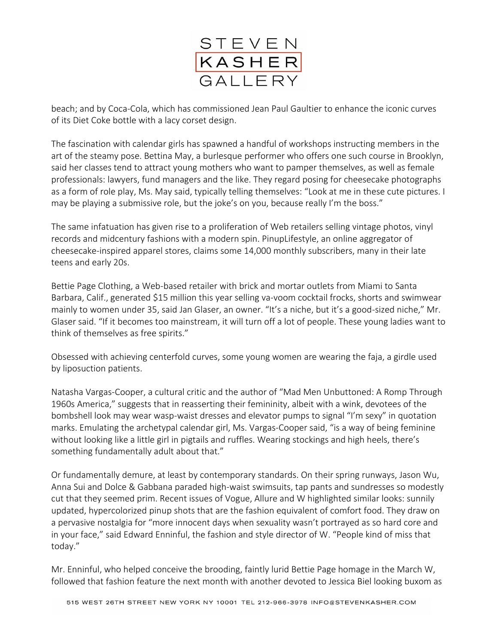

beach; and by Coca-Cola, which has commissioned Jean Paul Gaultier to enhance the iconic curves of its Diet Coke bottle with a lacy corset design.

The fascination with calendar girls has spawned a handful of workshops instructing members in the art of the steamy pose. Bettina May, a burlesque performer who offers one such course in Brooklyn, said her classes tend to attract young mothers who want to pamper themselves, as well as female professionals: lawyers, fund managers and the like. They regard posing for cheesecake photographs as a form of role play, Ms. May said, typically telling themselves: "Look at me in these cute pictures. I may be playing a submissive role, but the joke's on you, because really I'm the boss."

The same infatuation has given rise to a proliferation of Web retailers selling vintage photos, vinyl records and midcentury fashions with a modern spin. PinupLifestyle, an online aggregator of cheesecake-inspired apparel stores, claims some 14,000 monthly subscribers, many in their late teens and early 20s.

Bettie Page Clothing, a Web-based retailer with brick and mortar outlets from Miami to Santa Barbara, Calif., generated \$15 million this year selling va-voom cocktail frocks, shorts and swimwear mainly to women under 35, said Jan Glaser, an owner. "It's a niche, but it's a good-sized niche," Mr. Glaser said. "If it becomes too mainstream, it will turn off a lot of people. These young ladies want to think of themselves as free spirits."

Obsessed with achieving centerfold curves, some young women are wearing the faja, a girdle used by liposuction patients.

Natasha Vargas-Cooper, a cultural critic and the author of "Mad Men Unbuttoned: A Romp Through 1960s America," suggests that in reasserting their femininity, albeit with a wink, devotees of the bombshell look may wear wasp-waist dresses and elevator pumps to signal "I'm sexy" in quotation marks. Emulating the archetypal calendar girl, Ms. Vargas-Cooper said, "is a way of being feminine without looking like a little girl in pigtails and ruffles. Wearing stockings and high heels, there's something fundamentally adult about that."

Or fundamentally demure, at least by contemporary standards. On their spring runways, Jason Wu, Anna Sui and Dolce & Gabbana paraded high-waist swimsuits, tap pants and sundresses so modestly cut that they seemed prim. Recent issues of Vogue, Allure and W highlighted similar looks: sunnily updated, hypercolorized pinup shots that are the fashion equivalent of comfort food. They draw on a pervasive nostalgia for "more innocent days when sexuality wasn't portrayed as so hard core and in your face," said Edward Enninful, the fashion and style director of W. "People kind of miss that today."

Mr. Enninful, who helped conceive the brooding, faintly lurid Bettie Page homage in the March W, followed that fashion feature the next month with another devoted to Jessica Biel looking buxom as